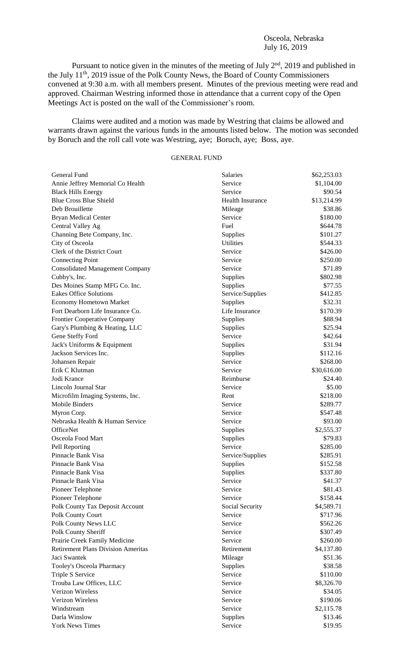#### Osceola, Nebraska July 16, 2019

Pursuant to notice given in the minutes of the meeting of July  $2<sup>nd</sup>$ , 2019 and published in the July 11<sup>th</sup>, 2019 issue of the Polk County News, the Board of County Commissioners convened at 9:30 a.m. with all members present. Minutes of the previous meeting were read and approved. Chairman Westring informed those in attendance that a current copy of the Open Meetings Act is posted on the wall of the Commissioner's room.

Claims were audited and a motion was made by Westring that claims be allowed and warrants drawn against the various funds in the amounts listed below. The motion was seconded by Boruch and the roll call vote was Westring, aye; Boruch, aye; Boss, aye.

# GENERAL FUND

| General Fund                              | Salaries                   | \$62,253.03 |
|-------------------------------------------|----------------------------|-------------|
| Annie Jeffrey Memorial Co Health          | Service                    | \$1,104.00  |
| <b>Black Hills Energy</b>                 | Service                    | \$90.54     |
| <b>Blue Cross Blue Shield</b>             | Health Insurance           | \$13,214.99 |
| Deb Brouillette                           | Mileage                    | \$38.86     |
| <b>Bryan Medical Center</b>               | Service                    | \$180.00    |
| Central Valley Ag                         | Fuel                       | \$644.78    |
| Channing Bete Company, Inc.               | Supplies                   | \$101.27    |
| City of Osceola                           | <b>Utilities</b>           | \$544.33    |
| Clerk of the District Court               | Service                    | \$426.00    |
| <b>Connecting Point</b>                   | Service                    | \$250.00    |
| <b>Consolidated Management Company</b>    | Service                    | \$71.89     |
| Cubby's, Inc.                             | Supplies                   | \$802.98    |
| Des Moines Stamp MFG Co. Inc.             | Supplies                   | \$77.55     |
| <b>Eakes Office Solutions</b>             | Service/Supplies           | \$412.85    |
| <b>Economy Hometown Market</b>            | Supplies                   | \$32.31     |
| Fort Dearborn Life Insurance Co.          | Life Insurance             | \$170.39    |
| <b>Frontier Cooperative Company</b>       | Supplies                   | \$88.94     |
| Gary's Plumbing & Heating, LLC            | Supplies                   | \$25.94     |
| Gene Steffy Ford                          | Service                    | \$42.64     |
| Jack's Uniforms & Equipment               | Supplies                   | \$31.94     |
| Jackson Services Inc.                     | Supplies                   | \$112.16    |
| Johansen Repair                           | Service                    | \$268.00    |
| Erik C Klutman                            | Service                    | \$30,616.00 |
| Jodi Krance                               | Reimburse                  | \$24.40     |
| Lincoln Journal Star                      | Service                    | \$5.00      |
| Microfilm Imaging Systems, Inc.           | Rent                       | \$218.00    |
| <b>Mobile Binders</b>                     | Service                    | \$289.77    |
| Myron Corp.                               | Service                    | \$547.48    |
| Nebraska Health & Human Service           | Service                    | \$93.00     |
| OfficeNet                                 | Supplies                   | \$2,555.37  |
| Osceola Food Mart                         | Supplies                   | \$79.83     |
| Pell Reporting                            | Service                    | \$285.00    |
| Pinnacle Bank Visa                        | Service/Supplies           | \$285.91    |
| Pinnacle Bank Visa                        | Supplies                   | \$152.58    |
| Pinnacle Bank Visa                        | Supplies                   | \$337.80    |
| Pinnacle Bank Visa                        | Service                    | \$41.37     |
|                                           | Service                    |             |
| Pioneer Telephone                         | Service                    | \$81.43     |
| Pioneer Telephone                         |                            | \$158.44    |
| Polk County Tax Deposit Account           | Social Security<br>Service | \$4,589.71  |
| Polk County Court                         | Service                    | \$717.96    |
| Polk County News LLC                      |                            | \$562.26    |
| Polk County Sheriff                       | Service<br>Service         | \$307.49    |
| Prairie Creek Family Medicine             |                            | \$260.00    |
| <b>Retirement Plans Division Ameritas</b> | Retirement                 | \$4,137.80  |
| Jaci Swantek                              | Mileage                    | \$51.36     |
| Tooley's Osceola Pharmacy                 | Supplies                   | \$38.58     |
| Triple S Service                          | Service                    | \$110.00    |
| Trouba Law Offices, LLC                   | Service                    | \$8,326.70  |
| Verizon Wireless                          | Service                    | \$34.05     |
| Verizon Wireless                          | Service                    | \$190.06    |
| Windstream                                | Service                    | \$2,115.78  |
| Darla Winslow                             | Supplies                   | \$13.46     |
| <b>York News Times</b>                    | Service                    | \$19.95     |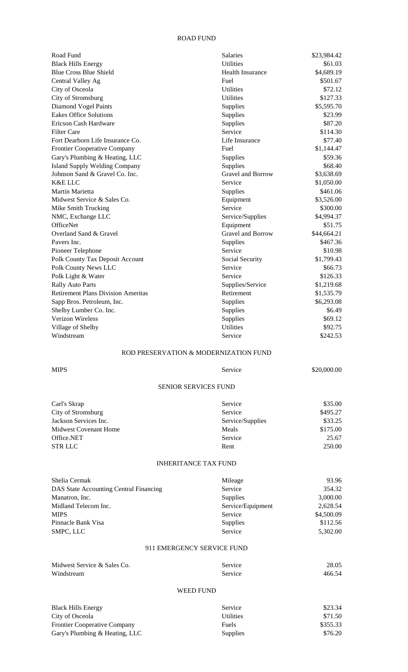#### ROAD FUND

| Road Fund                                 | <b>Salaries</b>                       | \$23,984.42 |
|-------------------------------------------|---------------------------------------|-------------|
| <b>Black Hills Energy</b>                 | <b>Utilities</b>                      | \$61.03     |
| <b>Blue Cross Blue Shield</b>             | <b>Health Insurance</b>               | \$4,689.19  |
| Central Valley Ag                         | Fuel                                  | \$501.67    |
| City of Osceola                           | Utilities                             | \$72.12     |
| City of Stromsburg                        | <b>Utilities</b>                      | \$127.33    |
| Diamond Vogel Paints                      | Supplies                              | \$5,595.70  |
| <b>Eakes Office Solutions</b>             | Supplies                              | \$23.99     |
| Ericson Cash Hardware                     | Supplies                              | \$87.20     |
| <b>Filter Care</b>                        | Service                               | \$114.30    |
| Fort Dearborn Life Insurance Co.          | Life Insurance                        | \$77.40     |
| Frontier Cooperative Company              | Fuel                                  | \$1,144.47  |
| Gary's Plumbing & Heating, LLC            | Supplies                              | \$59.36     |
| <b>Island Supply Welding Company</b>      | Supplies                              | \$68.40     |
| Johnson Sand & Gravel Co. Inc.            | Gravel and Borrow                     | \$3,638.69  |
| <b>K&amp;E LLC</b>                        | Service                               | \$1,050.00  |
| Martin Marietta                           | Supplies                              | \$461.06    |
| Midwest Service & Sales Co.               | Equipment                             | \$3,526.00  |
| Mike Smith Trucking                       | Service                               | \$300.00    |
| NMC, Exchange LLC                         | Service/Supplies                      | \$4,994.37  |
| OfficeNet                                 | Equipment                             | \$51.75     |
| Overland Sand & Gravel                    | Gravel and Borrow                     | \$44,664.21 |
| Pavers Inc.                               | Supplies                              | \$467.36    |
| Pioneer Telephone                         | Service                               | \$10.98     |
| Polk County Tax Deposit Account           | Social Security                       | \$1,799.43  |
| Polk County News LLC                      | Service                               | \$66.73     |
| Polk Light & Water                        | Service                               | \$126.33    |
| <b>Rally Auto Parts</b>                   | Supplies/Service                      | \$1,219.68  |
| <b>Retirement Plans Division Ameritas</b> | Retirement                            | \$1,535.79  |
| Sapp Bros. Petroleum, Inc.                | Supplies                              | \$6,293.08  |
| Shelby Lumber Co. Inc.                    | Supplies                              | \$6.49      |
| Verizon Wireless                          | Supplies                              | \$69.12     |
| Village of Shelby                         | <b>Utilities</b>                      | \$92.75     |
| Windstream                                | Service                               | \$242.53    |
|                                           | ROD PRESERVATION & MODERNIZATION FUND |             |
| <b>MIPS</b>                               | Service                               | \$20,000.00 |
|                                           | <b>SENIOR SERVICES FUND</b>           |             |
| Carl's Skrap                              | Service                               | \$35.00     |
| City of Stromsburg                        | Service                               | \$495.27    |

| City of Stromsburg    | Service          | \$495.27 |
|-----------------------|------------------|----------|
| Jackson Services Inc. | Service/Supplies | \$33.25  |
| Midwest Covenant Home | Meals            | \$175.00 |
| Office.NET            | Service          | 25.67    |
| STR LLC               | Rent             | 250.00   |
|                       |                  |          |

## INHERITANCE TAX FUND

| Mileage           | 93.96      |
|-------------------|------------|
| Service           | 354.32     |
| <b>Supplies</b>   | 3,000.00   |
| Service/Equipment | 2,628.54   |
| Service           | \$4,500.09 |
| <b>Supplies</b>   | \$112.56   |
| Service           | 5,302.00   |
|                   |            |

## 911 EMERGENCY SERVICE FUND

| Midwest Service & Sales Co. | <b>Service</b> | 28.05  |
|-----------------------------|----------------|--------|
| Windstream                  | <b>Service</b> | 466.54 |

# WEED FUND

| <b>Black Hills Energy</b>           | Service          | \$23.34  |
|-------------------------------------|------------------|----------|
| City of Osceola                     | <b>Utilities</b> | \$71.50  |
| <b>Frontier Cooperative Company</b> | Fuels            | \$355.33 |
| Gary's Plumbing & Heating, LLC      | <b>Supplies</b>  | \$76.20  |